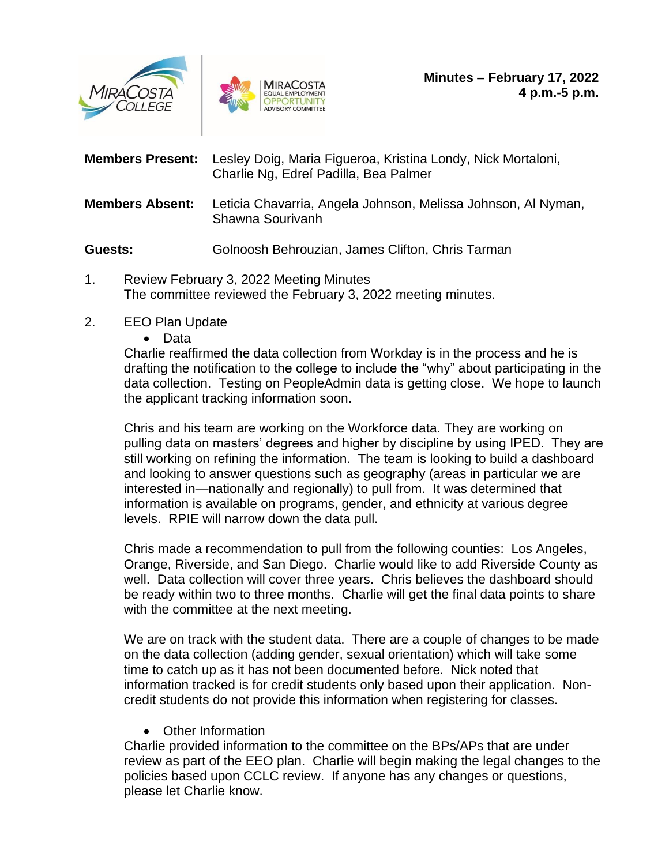



| <b>Members Present:</b>                 | Lesley Doig, Maria Figueroa, Kristina Londy, Nick Mortaloni,<br>Charlie Ng, Edreí Padilla, Bea Palmer |
|-----------------------------------------|-------------------------------------------------------------------------------------------------------|
| <b>Members Absent:</b>                  | Leticia Chavarria, Angela Johnson, Melissa Johnson, Al Nyman,<br>Shawna Sourivanh                     |
| Guests:                                 | Golnoosh Behrouzian, James Clifton, Chris Tarman                                                      |
| Boyiow February 2, 2022 Meeting Minutes |                                                                                                       |

- 1. Review February 3, 2022 Meeting Minutes The committee reviewed the February 3, 2022 meeting minutes.
- 2. EEO Plan Update
	- Data

Charlie reaffirmed the data collection from Workday is in the process and he is drafting the notification to the college to include the "why" about participating in the data collection. Testing on PeopleAdmin data is getting close. We hope to launch the applicant tracking information soon.

Chris and his team are working on the Workforce data. They are working on pulling data on masters' degrees and higher by discipline by using IPED. They are still working on refining the information. The team is looking to build a dashboard and looking to answer questions such as geography (areas in particular we are interested in—nationally and regionally) to pull from. It was determined that information is available on programs, gender, and ethnicity at various degree levels. RPIE will narrow down the data pull.

Chris made a recommendation to pull from the following counties: Los Angeles, Orange, Riverside, and San Diego. Charlie would like to add Riverside County as well. Data collection will cover three years. Chris believes the dashboard should be ready within two to three months. Charlie will get the final data points to share with the committee at the next meeting.

We are on track with the student data. There are a couple of changes to be made on the data collection (adding gender, sexual orientation) which will take some time to catch up as it has not been documented before. Nick noted that information tracked is for credit students only based upon their application. Noncredit students do not provide this information when registering for classes.

• Other Information

Charlie provided information to the committee on the BPs/APs that are under review as part of the EEO plan. Charlie will begin making the legal changes to the policies based upon CCLC review. If anyone has any changes or questions, please let Charlie know.